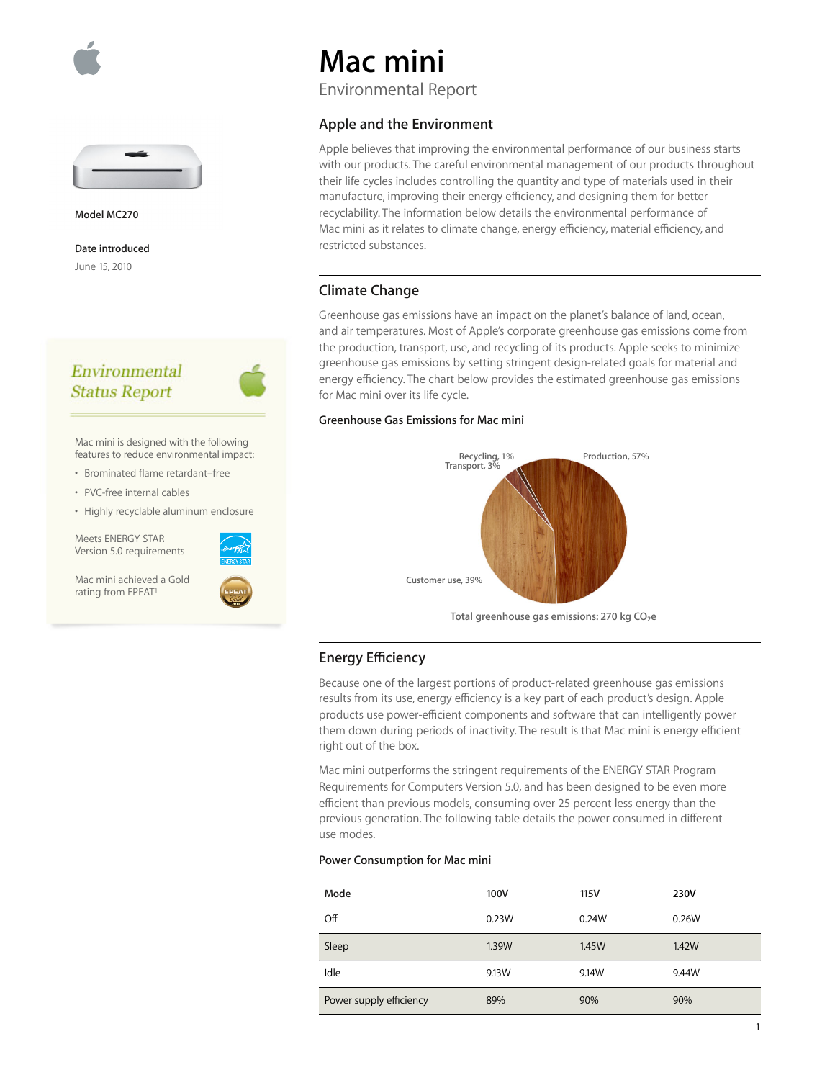



**Model MC270**

**Date introduced** June 15, 2010

## Environmental **Status Report**



Mac mini is designed with the following features to reduce environmental impact:

- Brominated flame retardant–free
- PVC-free internal cables
- Highly recyclable aluminum enclosure

Meets ENERGY STAR Version 5.0 requirements

Mac mini achieved a Gold rating from EPEAT<sup>1</sup>



# **Mac mini**

Environmental Report

## **Apple and the Environment**

Apple believes that improving the environmental performance of our business starts with our products. The careful environmental management of our products throughout their life cycles includes controlling the quantity and type of materials used in their manufacture, improving their energy efficiency, and designing them for better recyclability. The information below details the environmental performance of Mac mini as it relates to climate change, energy efficiency, material efficiency, and restricted substances.

## **Climate Change**

Greenhouse gas emissions have an impact on the planet's balance of land, ocean, and air temperatures. Most of Apple's corporate greenhouse gas emissions come from the production, transport, use, and recycling of its products. Apple seeks to minimize greenhouse gas emissions by setting stringent design-related goals for material and energy efficiency. The chart below provides the estimated greenhouse gas emissions for Mac mini over its life cycle.

#### **Greenhouse Gas Emissions for Mac mini**



## **Energy Efficiency**

Because one of the largest portions of product-related greenhouse gas emissions results from its use, energy efficiency is a key part of each product's design. Apple products use power-efficient components and software that can intelligently power them down during periods of inactivity. The result is that Mac mini is energy efficient right out of the box.

Mac mini outperforms the stringent requirements of the ENERGY STAR Program Requirements for Computers Version 5.0, and has been designed to be even more efficient than previous models, consuming over 25 percent less energy than the previous generation. The following table details the power consumed in different use modes.

#### **Power Consumption for Mac mini**

| Mode                    | 100V  | 115V  | 230V  |
|-------------------------|-------|-------|-------|
| Off                     | 0.23W | 0.24W | 0.26W |
| Sleep                   | 1.39W | 1.45W | 1.42W |
| Idle                    | 9.13W | 9.14W | 9.44W |
| Power supply efficiency | 89%   | 90%   | 90%   |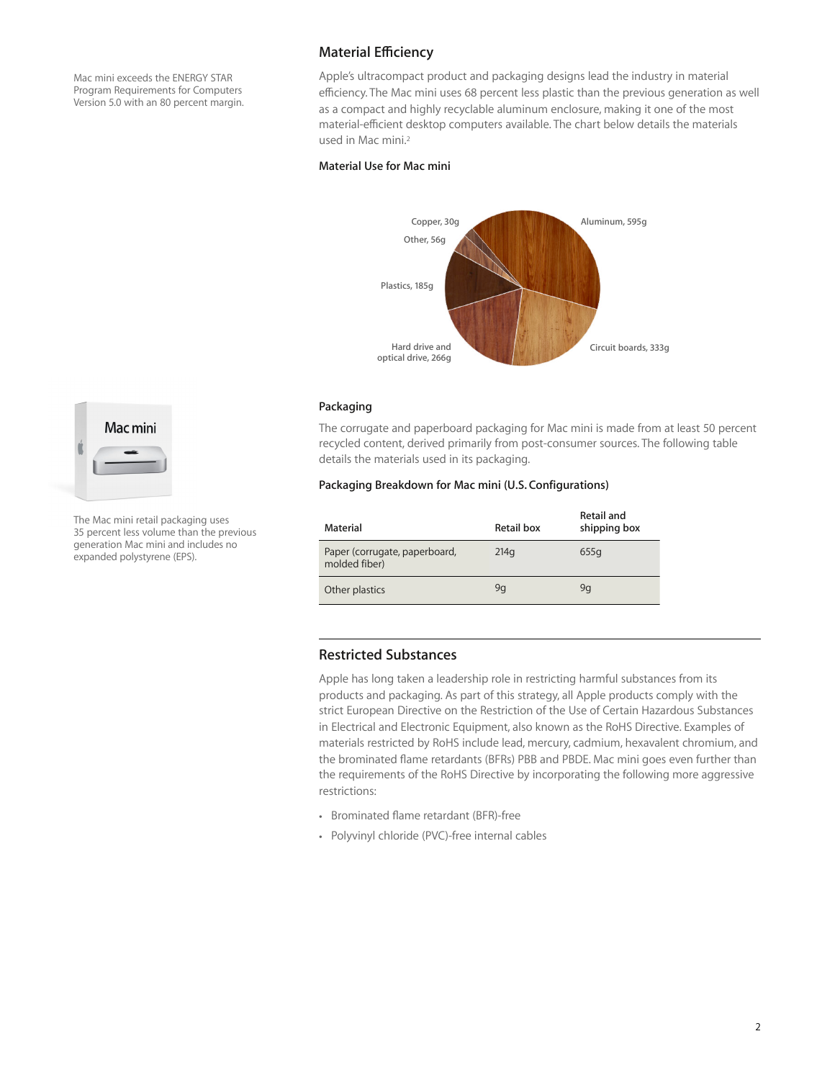Mac mini exceeds the ENERGY STAR Program Requirements for Computers Version 5.0 with an 80 percent margin.

## **Material Eciency**

Apple's ultracompact product and packaging designs lead the industry in material efficiency. The Mac mini uses 68 percent less plastic than the previous generation as well as a compact and highly recyclable aluminum enclosure, making it one of the most material-efficient desktop computers available. The chart below details the materials used in Mac mini.2

#### **Material Use for Mac mini**



#### **Packaging**

The corrugate and paperboard packaging for Mac mini is made from at least 50 percent recycled content, derived primarily from post-consumer sources. The following table details the materials used in its packaging.

#### **Packaging Breakdown for Mac mini (U.S. Configurations)**

| Material                                       | Retail box | <b>Retail and</b><br>shipping box |
|------------------------------------------------|------------|-----------------------------------|
| Paper (corrugate, paperboard,<br>molded fiber) | 214q       | 655g                              |
| Other plastics                                 | 9q         | 9q                                |

#### **Restricted Substances**

Apple has long taken a leadership role in restricting harmful substances from its products and packaging. As part of this strategy, all Apple products comply with the strict European Directive on the Restriction of the Use of Certain Hazardous Substances in Electrical and Electronic Equipment, also known as the RoHS Directive. Examples of materials restricted by RoHS include lead, mercury, cadmium, hexavalent chromium, and the brominated flame retardants (BFRs) PBB and PBDE. Mac mini goes even further than the requirements of the RoHS Directive by incorporating the following more aggressive restrictions:

- Brominated flame retardant (BFR)-free
- Polyvinyl chloride (PVC)-free internal cables



The Mac mini retail packaging uses 35 percent less volume than the previous generation Mac mini and includes no expanded polystyrene (EPS).